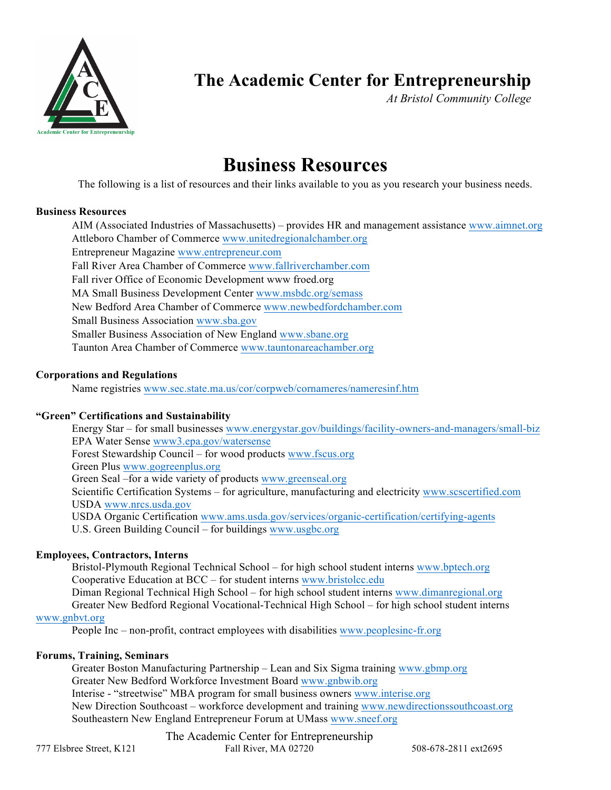

## **The Academic Center for Entrepreneurship**

*At Bristol Community College* 

# **Business Resources**

The following is a list of resources and their links available to you as you research your business needs.

## **Business Resources**

AIM (Associated Industries of Massachusetts) – provides HR and management assistance www.aimnet.org Attleboro Chamber of Commerce www.unitedregionalchamber.org Fall River Area Chamber of Commerce www.fallriverchamber.com Fall river Office of Economic Development www froed.org MA Small Business Development Center www.msbdc.org/semass New Bedford Area Chamber of Commerce www.newbedfordchamber.com Small Business Association www.sba.gov Smaller Business Association of New England www.sbane.org Taunton Area Chamber of Commerce www.tauntonareachamber.org Entrepreneur Magazine www.entrepreneur.com

## **Corporations and Regulations**

Name registries www.sec.state.ma.us/cor/corpweb/cornameres/nameresinf.htm

## **"Green" Certifications and Sustainability**

 Energy Star – for small businesses www.energystar.gov/buildings/facility-owners-and-managers/small-biz EPA Water Sense www3.epa.gov/watersense Forest Stewardship Council – for wood products www.fscus.org Green Plus www.gogreenplus.org Green Seal –for a wide variety of products www.greenseal.org Scientific Certification Systems – for agriculture, manufacturing and electricity www.scscertified.com U.S. Green Building Council – for buildings www.usgbc.org USDA www.nrcs.usda.gov USDA Organic Certification www.ams.usda.gov/services/organic-certification/certifying-agents

## **Employees, Contractors, Interns**

Bristol-Plymouth Regional Technical School – for high school student interns www.bptech.org Cooperative Education at BCC – for student interns www.bristolcc.edu Diman Regional Technical High School – for high school student interns www.dimanregional.org Greater New Bedford Regional Vocational-Technical High School – for high school student interns

### www.gnbvt.org

People Inc – non-profit, contract employees with disabilities www.peoplesinc-fr.org

#### **Forums, Training, Seminars**

Greater Boston Manufacturing Partnership - Lean and Six Sigma training www.gbmp.org Greater New Bedford Workforce Investment Board www.gnbwib.org Interise - "streetwise" MBA program for small business owners www.interise.org New Direction Southcoast – workforce development and training www.newdirectionssouthcoast.org Southeastern New England Entrepreneur Forum at UMass www.sneef.org

 777 Elsbree Street, K121 Fall River, MA 02720 508-678-2811 ext2695 The Academic Center for Entrepreneurship